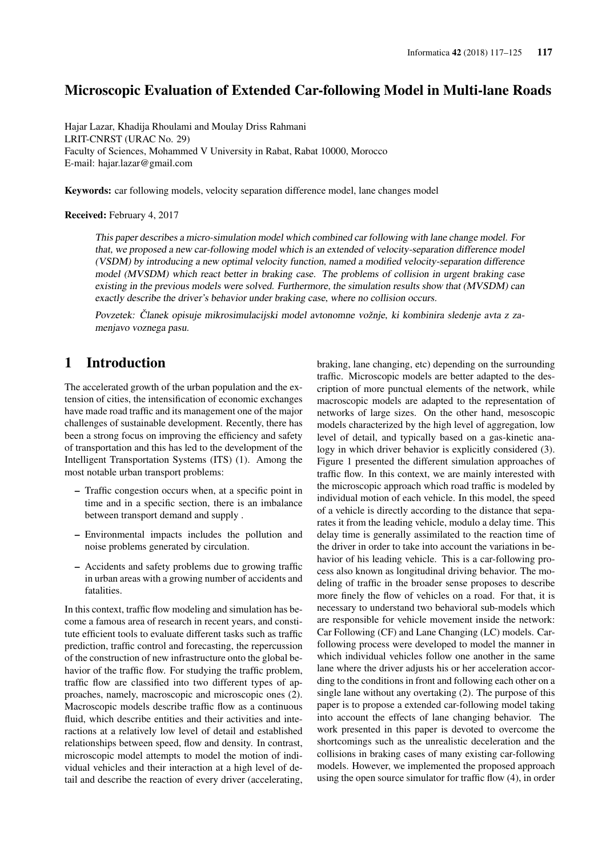# Microscopic Evaluation of Extended Car-following Model in Multi-lane Roads

Hajar Lazar, Khadija Rhoulami and Moulay Driss Rahmani LRIT-CNRST (URAC No. 29) Faculty of Sciences, Mohammed V University in Rabat, Rabat 10000, Morocco E-mail: hajar.lazar@gmail.com

Keywords: car following models, velocity separation difference model, lane changes model

Received: February 4, 2017

This paper describes a micro-simulation model which combined car following with lane change model. For that, we proposed a new car-following model which is an extended of velocity-separation difference model (VSDM) by introducing a new optimal velocity function, named a modified velocity-separation difference model (MVSDM) which react better in braking case. The problems of collision in urgent braking case existing in the previous models were solved. Furthermore, the simulation results show that (MVSDM) can exactly describe the driver's behavior under braking case, where no collision occurs.

Povzetek: Članek opisuje mikrosimulacijski model avtonomne vožnje, ki kombinira sledenje avta z zamenjavo voznega pasu.

# 1 Introduction

The accelerated growth of the urban population and the extension of cities, the intensification of economic exchanges have made road traffic and its management one of the major challenges of sustainable development. Recently, there has been a strong focus on improving the efficiency and safety of transportation and this has led to the development of the Intelligent Transportation Systems (ITS) (1). Among the most notable urban transport problems:

- Traffic congestion occurs when, at a specific point in time and in a specific section, there is an imbalance between transport demand and supply .
- Environmental impacts includes the pollution and noise problems generated by circulation.
- Accidents and safety problems due to growing traffic in urban areas with a growing number of accidents and fatalities.

In this context, traffic flow modeling and simulation has become a famous area of research in recent years, and constitute efficient tools to evaluate different tasks such as traffic prediction, traffic control and forecasting, the repercussion of the construction of new infrastructure onto the global behavior of the traffic flow. For studying the traffic problem, traffic flow are classified into two different types of approaches, namely, macroscopic and microscopic ones (2). Macroscopic models describe traffic flow as a continuous fluid, which describe entities and their activities and interactions at a relatively low level of detail and established relationships between speed, flow and density. In contrast, microscopic model attempts to model the motion of individual vehicles and their interaction at a high level of detail and describe the reaction of every driver (accelerating, braking, lane changing, etc) depending on the surrounding traffic. Microscopic models are better adapted to the description of more punctual elements of the network, while macroscopic models are adapted to the representation of networks of large sizes. On the other hand, mesoscopic models characterized by the high level of aggregation, low level of detail, and typically based on a gas-kinetic analogy in which driver behavior is explicitly considered (3). Figure 1 presented the different simulation approaches of traffic flow. In this context, we are mainly interested with the microscopic approach which road traffic is modeled by individual motion of each vehicle. In this model, the speed of a vehicle is directly according to the distance that separates it from the leading vehicle, modulo a delay time. This delay time is generally assimilated to the reaction time of the driver in order to take into account the variations in behavior of his leading vehicle. This is a car-following process also known as longitudinal driving behavior. The modeling of traffic in the broader sense proposes to describe more finely the flow of vehicles on a road. For that, it is necessary to understand two behavioral sub-models which are responsible for vehicle movement inside the network: Car Following (CF) and Lane Changing (LC) models. Carfollowing process were developed to model the manner in which individual vehicles follow one another in the same lane where the driver adjusts his or her acceleration according to the conditions in front and following each other on a single lane without any overtaking (2). The purpose of this paper is to propose a extended car-following model taking into account the effects of lane changing behavior. The work presented in this paper is devoted to overcome the shortcomings such as the unrealistic deceleration and the collisions in braking cases of many existing car-following models. However, we implemented the proposed approach using the open source simulator for traffic flow (4), in order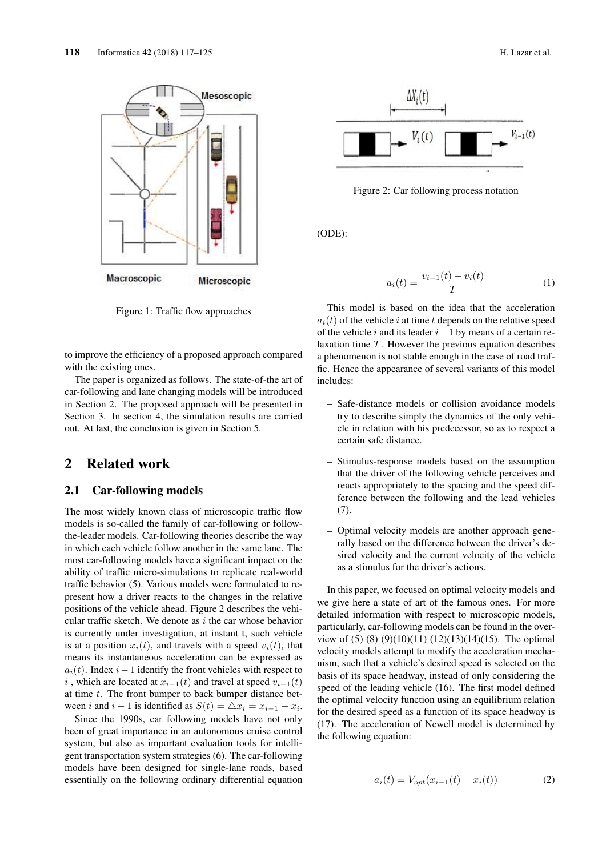

Figure 1: Traffic flow approaches

to improve the efficiency of a proposed approach compared with the existing ones.

The paper is organized as follows. The state-of-the art of car-following and lane changing models will be introduced in Section 2. The proposed approach will be presented in Section 3. In section 4, the simulation results are carried out. At last, the conclusion is given in Section 5.

# 2 Related work

#### 2.1 Car-following models

The most widely known class of microscopic traffic flow models is so-called the family of car-following or followthe-leader models. Car-following theories describe the way in which each vehicle follow another in the same lane. The most car-following models have a significant impact on the ability of traffic micro-simulations to replicate real-world traffic behavior (5). Various models were formulated to represent how a driver reacts to the changes in the relative positions of the vehicle ahead. Figure 2 describes the vehicular traffic sketch. We denote as  $i$  the car whose behavior is currently under investigation, at instant t, such vehicle is at a position  $x_i(t)$ , and travels with a speed  $v_i(t)$ , that means its instantaneous acceleration can be expressed as  $a_i(t)$ . Index  $i-1$  identify the front vehicles with respect to i, which are located at  $x_{i-1}(t)$  and travel at speed  $v_{i-1}(t)$ at time  $t$ . The front bumper to back bumper distance between *i* and *i* − 1 is identified as  $S(t) = \Delta x_i = x_{i-1} - x_i$ .

Since the 1990s, car following models have not only been of great importance in an autonomous cruise control system, but also as important evaluation tools for intelligent transportation system strategies (6). The car-following models have been designed for single-lane roads, based essentially on the following ordinary differential equation



Figure 2: Car following process notation

(ODE):

$$
a_i(t) = \frac{v_{i-1}(t) - v_i(t)}{T}
$$
 (1)

This model is based on the idea that the acceleration  $a_i(t)$  of the vehicle i at time t depends on the relative speed of the vehicle i and its leader  $i-1$  by means of a certain relaxation time T. However the previous equation describes a phenomenon is not stable enough in the case of road traffic. Hence the appearance of several variants of this model includes:

- Safe-distance models or collision avoidance models try to describe simply the dynamics of the only vehicle in relation with his predecessor, so as to respect a certain safe distance.
- Stimulus-response models based on the assumption that the driver of the following vehicle perceives and reacts appropriately to the spacing and the speed difference between the following and the lead vehicles (7).
- Optimal velocity models are another approach generally based on the difference between the driver's desired velocity and the current velocity of the vehicle as a stimulus for the driver's actions.

In this paper, we focused on optimal velocity models and we give here a state of art of the famous ones. For more detailed information with respect to microscopic models, particularly, car-following models can be found in the overview of  $(5)$   $(8)$   $(9)(10)(11)$   $(12)(13)(14)(15)$ . The optimal velocity models attempt to modify the acceleration mechanism, such that a vehicle's desired speed is selected on the basis of its space headway, instead of only considering the speed of the leading vehicle (16). The first model defined the optimal velocity function using an equilibrium relation for the desired speed as a function of its space headway is (17). The acceleration of Newell model is determined by the following equation:

$$
a_i(t) = V_{opt}(x_{i-1}(t) - x_i(t))
$$
 (2)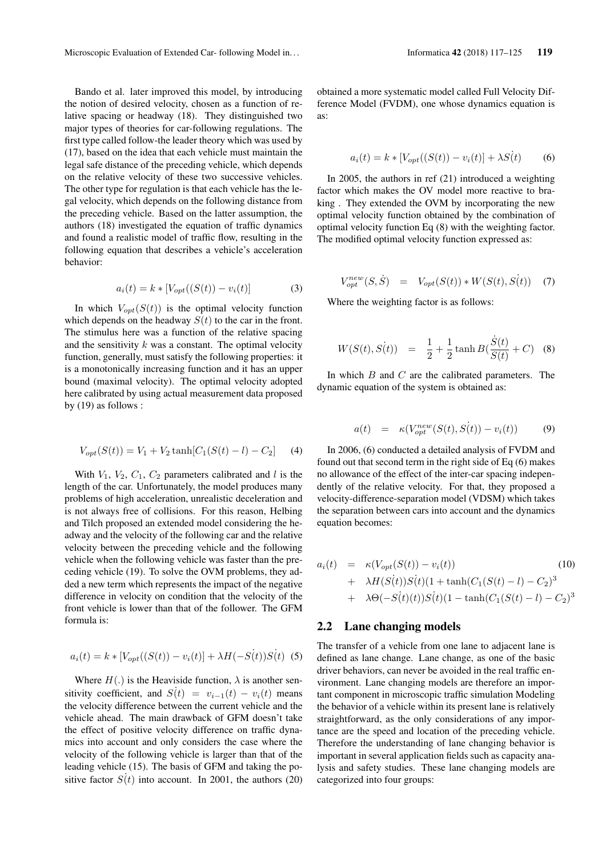Bando et al. later improved this model, by introducing the notion of desired velocity, chosen as a function of relative spacing or headway (18). They distinguished two major types of theories for car-following regulations. The first type called follow-the leader theory which was used by (17), based on the idea that each vehicle must maintain the legal safe distance of the preceding vehicle, which depends on the relative velocity of these two successive vehicles. The other type for regulation is that each vehicle has the legal velocity, which depends on the following distance from the preceding vehicle. Based on the latter assumption, the authors (18) investigated the equation of traffic dynamics and found a realistic model of traffic flow, resulting in the following equation that describes a vehicle's acceleration behavior:

$$
a_i(t) = k * [V_{opt}((S(t)) - v_i(t)] \tag{3}
$$

In which  $V_{opt}(S(t))$  is the optimal velocity function which depends on the headway  $S(t)$  to the car in the front. The stimulus here was a function of the relative spacing and the sensitivity  $k$  was a constant. The optimal velocity function, generally, must satisfy the following properties: it is a monotonically increasing function and it has an upper bound (maximal velocity). The optimal velocity adopted here calibrated by using actual measurement data proposed by (19) as follows :

$$
V_{opt}(S(t)) = V_1 + V_2 \tanh[C_1(S(t) - l) - C_2]
$$
 (4)

With  $V_1$ ,  $V_2$ ,  $C_1$ ,  $C_2$  parameters calibrated and l is the length of the car. Unfortunately, the model produces many problems of high acceleration, unrealistic deceleration and is not always free of collisions. For this reason, Helbing and Tilch proposed an extended model considering the headway and the velocity of the following car and the relative velocity between the preceding vehicle and the following vehicle when the following vehicle was faster than the preceding vehicle (19). To solve the OVM problems, they added a new term which represents the impact of the negative difference in velocity on condition that the velocity of the front vehicle is lower than that of the follower. The GFM formula is:

$$
a_i(t) = k * [V_{opt}((S(t)) - v_i(t)] + \lambda H(-S(t))S(t)
$$
 (5)

Where  $H(.)$  is the Heaviside function,  $\lambda$  is another sensitivity coefficient, and  $S(t) = v_{i-1}(t) - v_i(t)$  means the velocity difference between the current vehicle and the vehicle ahead. The main drawback of GFM doesn't take the effect of positive velocity difference on traffic dynamics into account and only considers the case where the velocity of the following vehicle is larger than that of the leading vehicle (15). The basis of GFM and taking the positive factor  $S(t)$  into account. In 2001, the authors (20) obtained a more systematic model called Full Velocity Difference Model (FVDM), one whose dynamics equation is as:

$$
a_i(t) = k * [V_{opt}((S(t)) - v_i(t)] + \lambda S(t)
$$
 (6)

In 2005, the authors in ref (21) introduced a weighting factor which makes the OV model more reactive to braking . They extended the OVM by incorporating the new optimal velocity function obtained by the combination of optimal velocity function Eq (8) with the weighting factor. The modified optimal velocity function expressed as:

$$
V_{opt}^{new}(S, \dot{S}) = V_{opt}(S(t)) * W(S(t), S(t)) \quad (7)
$$

Where the weighting factor is as follows:

$$
W(S(t), S(t)) = \frac{1}{2} + \frac{1}{2} \tanh B(\frac{\dot{S}(t)}{S(t)} + C) \quad (8)
$$

In which  $B$  and  $C$  are the calibrated parameters. The dynamic equation of the system is obtained as:

$$
a(t) = \kappa(V_{opt}^{new}(S(t), S(t)) - v_i(t)) \tag{9}
$$

In 2006, (6) conducted a detailed analysis of FVDM and found out that second term in the right side of Eq (6) makes no allowance of the effect of the inter-car spacing independently of the relative velocity. For that, they proposed a velocity-difference-separation model (VDSM) which takes the separation between cars into account and the dynamics equation becomes:

$$
a_i(t) = \kappa(V_{opt}(S(t)) - v_i(t))
$$
\n
$$
+ \lambda H(S(t))S(t)(1 + \tanh(C_1(S(t) - l) - C_2)^3
$$
\n
$$
+ \lambda \Theta(-S(t)(t))S(t)(1 - \tanh(C_1(S(t) - l) - C_2)^3)
$$

#### 2.2 Lane changing models

The transfer of a vehicle from one lane to adjacent lane is defined as lane change. Lane change, as one of the basic driver behaviors, can never be avoided in the real traffic environment. Lane changing models are therefore an important component in microscopic traffic simulation Modeling the behavior of a vehicle within its present lane is relatively straightforward, as the only considerations of any importance are the speed and location of the preceding vehicle. Therefore the understanding of lane changing behavior is important in several application fields such as capacity analysis and safety studies. These lane changing models are categorized into four groups: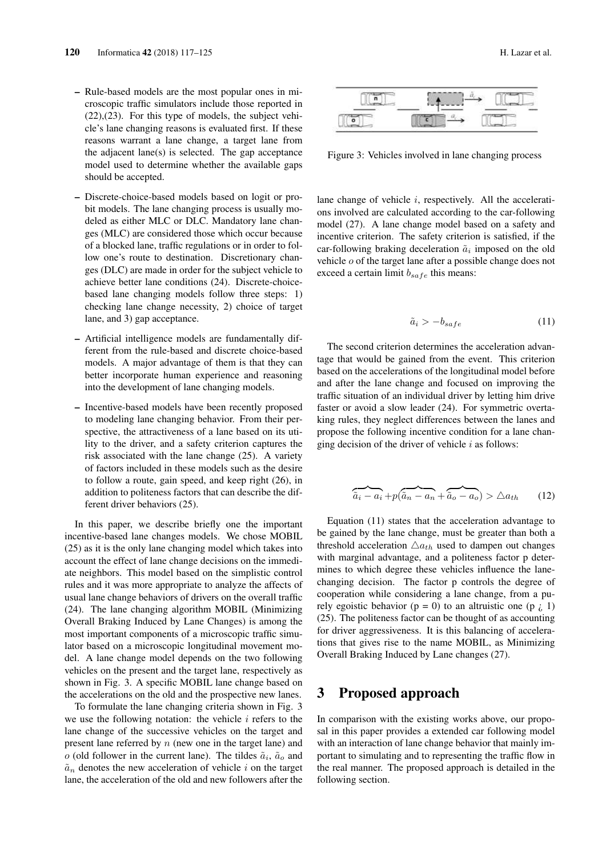- Rule-based models are the most popular ones in microscopic traffic simulators include those reported in (22),(23). For this type of models, the subject vehicle's lane changing reasons is evaluated first. If these reasons warrant a lane change, a target lane from the adjacent lane(s) is selected. The gap acceptance model used to determine whether the available gaps should be accepted.
- Discrete-choice-based models based on logit or probit models. The lane changing process is usually modeled as either MLC or DLC. Mandatory lane changes (MLC) are considered those which occur because of a blocked lane, traffic regulations or in order to follow one's route to destination. Discretionary changes (DLC) are made in order for the subject vehicle to achieve better lane conditions (24). Discrete-choicebased lane changing models follow three steps: 1) checking lane change necessity, 2) choice of target lane, and 3) gap acceptance.
- Artificial intelligence models are fundamentally different from the rule-based and discrete choice-based models. A major advantage of them is that they can better incorporate human experience and reasoning into the development of lane changing models.
- Incentive-based models have been recently proposed to modeling lane changing behavior. From their perspective, the attractiveness of a lane based on its utility to the driver, and a safety criterion captures the risk associated with the lane change (25). A variety of factors included in these models such as the desire to follow a route, gain speed, and keep right (26), in addition to politeness factors that can describe the different driver behaviors (25).

In this paper, we describe briefly one the important incentive-based lane changes models. We chose MOBIL (25) as it is the only lane changing model which takes into account the effect of lane change decisions on the immediate neighbors. This model based on the simplistic control rules and it was more appropriate to analyze the affects of usual lane change behaviors of drivers on the overall traffic (24). The lane changing algorithm MOBIL (Minimizing Overall Braking Induced by Lane Changes) is among the most important components of a microscopic traffic simulator based on a microscopic longitudinal movement model. A lane change model depends on the two following vehicles on the present and the target lane, respectively as shown in Fig. 3. A specific MOBIL lane change based on the accelerations on the old and the prospective new lanes.

To formulate the lane changing criteria shown in Fig. 3 we use the following notation: the vehicle  $i$  refers to the lane change of the successive vehicles on the target and present lane referred by  $n$  (new one in the target lane) and  $o$  (old follower in the current lane). The tildes  $\tilde{a}_i$ ,  $\tilde{a}_o$  and  $\tilde{a}_n$  denotes the new acceleration of vehicle i on the target lane, the acceleration of the old and new followers after the



Figure 3: Vehicles involved in lane changing process

lane change of vehicle i, respectively. All the accelerations involved are calculated according to the car-following model (27). A lane change model based on a safety and incentive criterion. The safety criterion is satisfied, if the car-following braking deceleration  $\tilde{a}_i$  imposed on the old vehicle o of the target lane after a possible change does not exceed a certain limit  $b_{safe}$  this means:

$$
\tilde{a}_i > -b_{safe} \tag{11}
$$

The second criterion determines the acceleration advantage that would be gained from the event. This criterion based on the accelerations of the longitudinal model before and after the lane change and focused on improving the traffic situation of an individual driver by letting him drive faster or avoid a slow leader (24). For symmetric overtaking rules, they neglect differences between the lanes and propose the following incentive condition for a lane changing decision of the driver of vehicle  $i$  as follows:

$$
\overbrace{\tilde{a}_i - a_i} + p(\overbrace{\tilde{a}_n - a_n} + \overbrace{\tilde{a}_o - a_o}) > \triangle a_{th} \qquad (12)
$$

Equation (11) states that the acceleration advantage to be gained by the lane change, must be greater than both a threshold acceleration  $\triangle a_{th}$  used to dampen out changes with marginal advantage, and a politeness factor p determines to which degree these vehicles influence the lanechanging decision. The factor p controls the degree of cooperation while considering a lane change, from a purely egoistic behavior ( $p = 0$ ) to an altruistic one ( $p \nvert i$ ) (25). The politeness factor can be thought of as accounting for driver aggressiveness. It is this balancing of accelerations that gives rise to the name MOBIL, as Minimizing Overall Braking Induced by Lane changes (27).

# 3 Proposed approach

In comparison with the existing works above, our proposal in this paper provides a extended car following model with an interaction of lane change behavior that mainly important to simulating and to representing the traffic flow in the real manner. The proposed approach is detailed in the following section.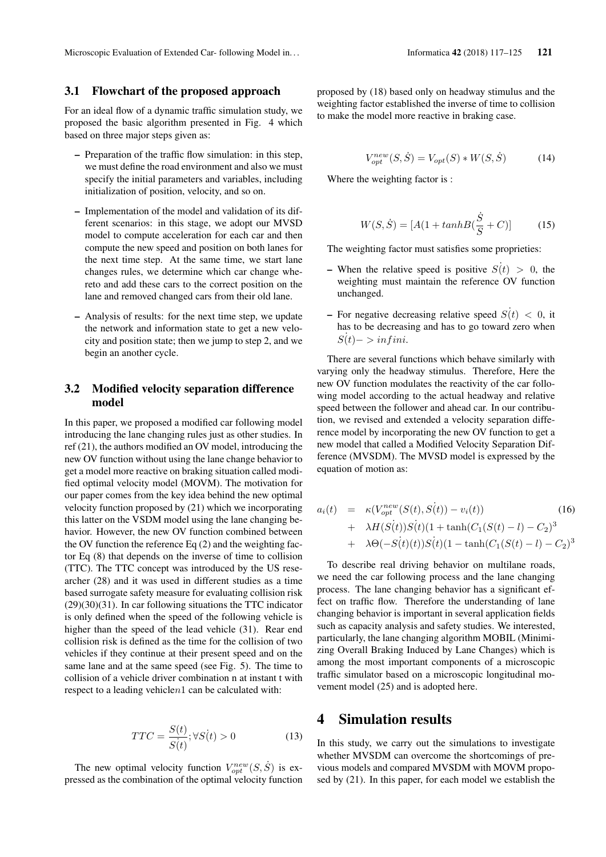#### 3.1 Flowchart of the proposed approach

For an ideal flow of a dynamic traffic simulation study, we proposed the basic algorithm presented in Fig. 4 which based on three major steps given as:

- Preparation of the traffic flow simulation: in this step, we must define the road environment and also we must specify the initial parameters and variables, including initialization of position, velocity, and so on.
- Implementation of the model and validation of its different scenarios: in this stage, we adopt our MVSD model to compute acceleration for each car and then compute the new speed and position on both lanes for the next time step. At the same time, we start lane changes rules, we determine which car change whereto and add these cars to the correct position on the lane and removed changed cars from their old lane.
- Analysis of results: for the next time step, we update the network and information state to get a new velocity and position state; then we jump to step 2, and we begin an another cycle.

### 3.2 Modified velocity separation difference model

In this paper, we proposed a modified car following model introducing the lane changing rules just as other studies. In ref (21), the authors modified an OV model, introducing the new OV function without using the lane change behavior to get a model more reactive on braking situation called modified optimal velocity model (MOVM). The motivation for our paper comes from the key idea behind the new optimal velocity function proposed by (21) which we incorporating this latter on the VSDM model using the lane changing behavior. However, the new OV function combined between the OV function the reference Eq (2) and the weighting factor Eq (8) that depends on the inverse of time to collision (TTC). The TTC concept was introduced by the US researcher (28) and it was used in different studies as a time based surrogate safety measure for evaluating collision risk (29)(30)(31). In car following situations the TTC indicator is only defined when the speed of the following vehicle is higher than the speed of the lead vehicle (31). Rear end collision risk is defined as the time for the collision of two vehicles if they continue at their present speed and on the same lane and at the same speed (see Fig. 5). The time to collision of a vehicle driver combination n at instant t with respect to a leading vehiclen1 can be calculated with:

$$
TTC = \frac{S(t)}{S(t)}; \forall S(t) > 0 \tag{13}
$$

The new optimal velocity function  $V_{opt}^{new}(S, \dot{S})$  is expressed as the combination of the optimal velocity function proposed by (18) based only on headway stimulus and the weighting factor established the inverse of time to collision to make the model more reactive in braking case.

$$
V_{opt}^{new}(S, \dot{S}) = V_{opt}(S) * W(S, \dot{S})
$$
(14)

Where the weighting factor is :

$$
W(S, \dot{S}) = [A(1 + tanh)B(\frac{\dot{S}}{S} + C)]
$$
 (15)

The weighting factor must satisfies some proprieties:

- When the relative speed is positive  $S(t) > 0$ , the weighting must maintain the reference OV function unchanged.
- For negative decreasing relative speed  $S(t) < 0$ , it has to be decreasing and has to go toward zero when  $S(t)$  - > in fini.

There are several functions which behave similarly with varying only the headway stimulus. Therefore, Here the new OV function modulates the reactivity of the car following model according to the actual headway and relative speed between the follower and ahead car. In our contribution, we revised and extended a velocity separation difference model by incorporating the new OV function to get a new model that called a Modified Velocity Separation Difference (MVSDM). The MVSD model is expressed by the equation of motion as:

$$
a_i(t) = \kappa(V_{opt}^{new}(S(t), S(t)) - v_i(t))
$$
(16)  
+  $\lambda H(S(t))S(t)(1 + \tanh(C_1(S(t) - l) - C_2)^3$   
+  $\lambda \Theta(-S(t)(t))S(t)(1 - \tanh(C_1(S(t) - l) - C_2)^3)$ 

To describe real driving behavior on multilane roads, we need the car following process and the lane changing process. The lane changing behavior has a significant effect on traffic flow. Therefore the understanding of lane changing behavior is important in several application fields such as capacity analysis and safety studies. We interested, particularly, the lane changing algorithm MOBIL (Minimizing Overall Braking Induced by Lane Changes) which is among the most important components of a microscopic traffic simulator based on a microscopic longitudinal movement model (25) and is adopted here.

### 4 Simulation results

In this study, we carry out the simulations to investigate whether MVSDM can overcome the shortcomings of previous models and compared MVSDM with MOVM proposed by (21). In this paper, for each model we establish the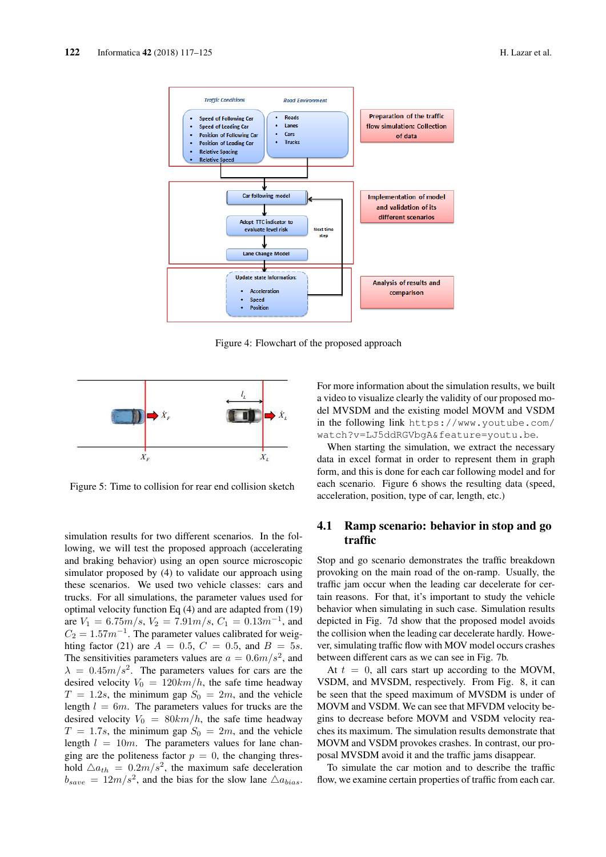

Figure 4: Flowchart of the proposed approach



Figure 5: Time to collision for rear end collision sketch

simulation results for two different scenarios. In the following, we will test the proposed approach (accelerating and braking behavior) using an open source microscopic simulator proposed by (4) to validate our approach using these scenarios. We used two vehicle classes: cars and trucks. For all simulations, the parameter values used for optimal velocity function Eq (4) and are adapted from (19) are  $V_1 = 6.75m/s$ ,  $V_2 = 7.91m/s$ ,  $C_1 = 0.13m^{-1}$ , and  $C_2 = 1.57m^{-1}$ . The parameter values calibrated for weighting factor (21) are  $A = 0.5, C = 0.5,$  and  $B = 5s$ . The sensitivities parameters values are  $a = 0.6m/s^2$ , and  $\lambda = 0.45m/s^2$ . The parameters values for cars are the desired velocity  $V_0 = 120km/h$ , the safe time headway  $T = 1.2s$ , the minimum gap  $S_0 = 2m$ , and the vehicle length  $l = 6m$ . The parameters values for trucks are the desired velocity  $V_0 = 80km/h$ , the safe time headway  $T = 1.7s$ , the minimum gap  $S_0 = 2m$ , and the vehicle length  $l = 10m$ . The parameters values for lane changing are the politeness factor  $p = 0$ , the changing threshold  $\Delta a_{th} = 0.2 m/s^2$ , the maximum safe deceleration  $b_{save} = 12m/s^2$ , and the bias for the slow lane  $\triangle a_{bias}$ .

For more information about the simulation results, we built a video to visualize clearly the validity of our proposed model MVSDM and the existing model MOVM and VSDM in the following link https://www.youtube.com/ watch?v=LJ5ddRGVbgA&feature=youtu.be.

When starting the simulation, we extract the necessary data in excel format in order to represent them in graph form, and this is done for each car following model and for each scenario. Figure 6 shows the resulting data (speed, acceleration, position, type of car, length, etc.)

### 4.1 Ramp scenario: behavior in stop and go traffic

Stop and go scenario demonstrates the traffic breakdown provoking on the main road of the on-ramp. Usually, the traffic jam occur when the leading car decelerate for certain reasons. For that, it's important to study the vehicle behavior when simulating in such case. Simulation results depicted in Fig. 7d show that the proposed model avoids the collision when the leading car decelerate hardly. However, simulating traffic flow with MOV model occurs crashes between different cars as we can see in Fig. 7b.

At  $t = 0$ , all cars start up according to the MOVM, VSDM, and MVSDM, respectively. From Fig. 8, it can be seen that the speed maximum of MVSDM is under of MOVM and VSDM. We can see that MFVDM velocity begins to decrease before MOVM and VSDM velocity reaches its maximum. The simulation results demonstrate that MOVM and VSDM provokes crashes. In contrast, our proposal MVSDM avoid it and the traffic jams disappear.

To simulate the car motion and to describe the traffic flow, we examine certain properties of traffic from each car.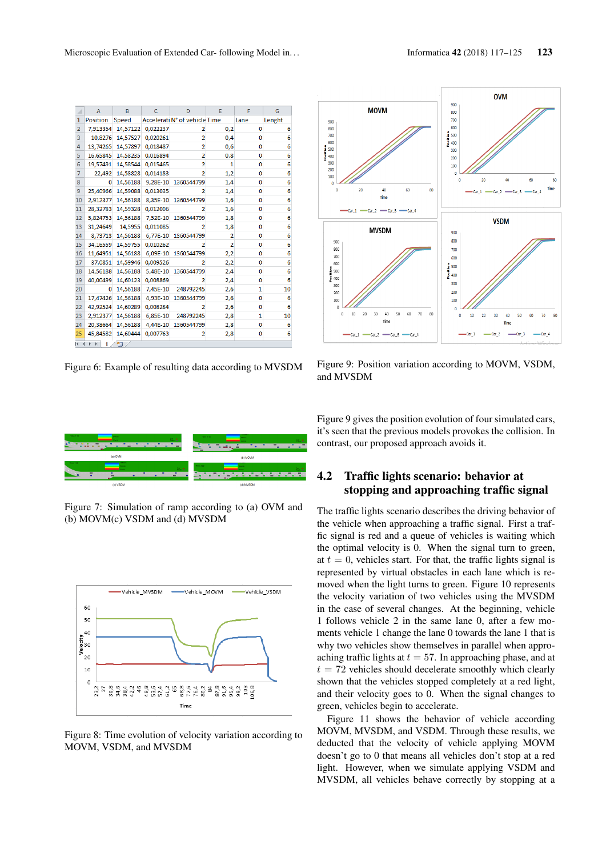| ₫              | A                                  | B        | C        | D                             | E              | F            | G      |  |
|----------------|------------------------------------|----------|----------|-------------------------------|----------------|--------------|--------|--|
| $\mathbf{1}$   | Position                           | Speed    |          | Accelerati N° of vehicle Time |                | Lane         | Lenght |  |
| $\overline{2}$ | 7,913354                           | 14,57122 | 0,022237 | 2                             | 0,2            | 0            | 6      |  |
| 3              | 10,8276                            | 14,57527 | 0.020261 | $\overline{a}$                | 0,4            | 0            | 6      |  |
| 4              | 13.74265                           | 14,57897 | 0,018487 | $\overline{2}$                | 0,6            | 0            | 6      |  |
| 5              | 16,65845                           | 14,58235 | 0,016894 | $\overline{2}$                | 0,8            | 0            | 6      |  |
| 6              | 19,57491                           | 14,58544 | 0.015465 | $\overline{a}$                | 1              | 0            | 6      |  |
| $\overline{7}$ | 22,492                             | 14,58828 | 0,014183 | $\overline{2}$                | 1,2            | $\mathbf{0}$ | 6      |  |
| 8              | o                                  | 14,56188 | 9,28E-10 | 1360544799                    | 1,4            | 0            | 6      |  |
| 9              | 25.40966                           | 14,59088 | 0.013035 | $\overline{2}$                | 1,4            | 0            | 6      |  |
| 10             | 2,912377                           | 14,56188 | 8,35E-10 | 1360544799                    | 1,6            | 0            | 6      |  |
| 11             | 28,32783                           | 14,59328 | 0,012006 | 2                             | 1,6            | 0            | 6      |  |
| 12             | 5.824753                           | 14,56188 | 7.52E-10 | 1360544799                    | 1,8            | 0            | 6      |  |
| 13             | 31,24649                           | 14,5955  | 0,011085 | 2                             | 1,8            | 0            | 6      |  |
| 14             | 8,73713                            | 14,56188 | 6.77E-10 | 1360544799                    | $\overline{2}$ | 0            | 6      |  |
| 15             | 34,16559                           | 14,59755 | 0.010262 | 2                             | $\overline{2}$ | 0            | 6      |  |
| 16             | 11,64951                           | 14,56188 | 6,09E-10 | 1360544799                    | 2,2            | 0            | 6      |  |
| 17             | 37,0851                            | 14,59946 | 0.009526 | $\overline{2}$                | 2,2            | 0            | 6      |  |
| 18             | 14,56188                           | 14,56188 | 5,48E-10 | 1360544799                    | 2,4            | 0            | 6      |  |
| 19             | 40,00499                           | 14,60123 | 0,008869 | 2                             | 2,4            | 0            | 6      |  |
| 20             | n                                  | 14,56188 | 7,45E-10 | 248792245                     | 2,6            | 1            | 10     |  |
| 21             | 17,47426                           | 14,56188 | 4,93E-10 | 1360544799                    | 2,6            | 0            | 6      |  |
| 22             | 42,92524                           | 14,60289 | 0,008284 | 2                             | 2,6            | 0            | 6      |  |
| 23             | 2,912377                           | 14,56188 | 6,85E-10 | 248792245                     | 2,8            | 1            | 10     |  |
| 24             | 20,38664                           | 14,56188 | 4,44E-10 | 1360544799                    | 2,8            | 0            | 6      |  |
| 25             | 45,84582                           | 14,60444 | 0,007763 | 2                             | 2,8            | 0            | 6      |  |
|                | ₩<br>$14 - 4$<br>$\mathbb{H}$<br>1 |          |          |                               |                |              |        |  |

Figure 6: Example of resulting data according to MVSDM



Figure 9: Position variation according to MOVM, VSDM, and MVSDM



Figure 7: Simulation of ramp according to (a) OVM and (b) MOVM(c) VSDM and (d) MVSDM



Figure 8: Time evolution of velocity variation according to MOVM, VSDM, and MVSDM

Figure 9 gives the position evolution of four simulated cars, it's seen that the previous models provokes the collision. In contrast, our proposed approach avoids it.

### 4.2 Traffic lights scenario: behavior at stopping and approaching traffic signal

The traffic lights scenario describes the driving behavior of the vehicle when approaching a traffic signal. First a traffic signal is red and a queue of vehicles is waiting which the optimal velocity is 0. When the signal turn to green, at  $t = 0$ , vehicles start. For that, the traffic lights signal is represented by virtual obstacles in each lane which is removed when the light turns to green. Figure 10 represents the velocity variation of two vehicles using the MVSDM in the case of several changes. At the beginning, vehicle 1 follows vehicle 2 in the same lane 0, after a few moments vehicle 1 change the lane 0 towards the lane 1 that is why two vehicles show themselves in parallel when approaching traffic lights at  $t = 57$ . In approaching phase, and at  $t = 72$  vehicles should decelerate smoothly which clearly shown that the vehicles stopped completely at a red light, and their velocity goes to 0. When the signal changes to green, vehicles begin to accelerate.

Figure 11 shows the behavior of vehicle according MOVM, MVSDM, and VSDM. Through these results, we deducted that the velocity of vehicle applying MOVM doesn't go to 0 that means all vehicles don't stop at a red light. However, when we simulate applying VSDM and MVSDM, all vehicles behave correctly by stopping at a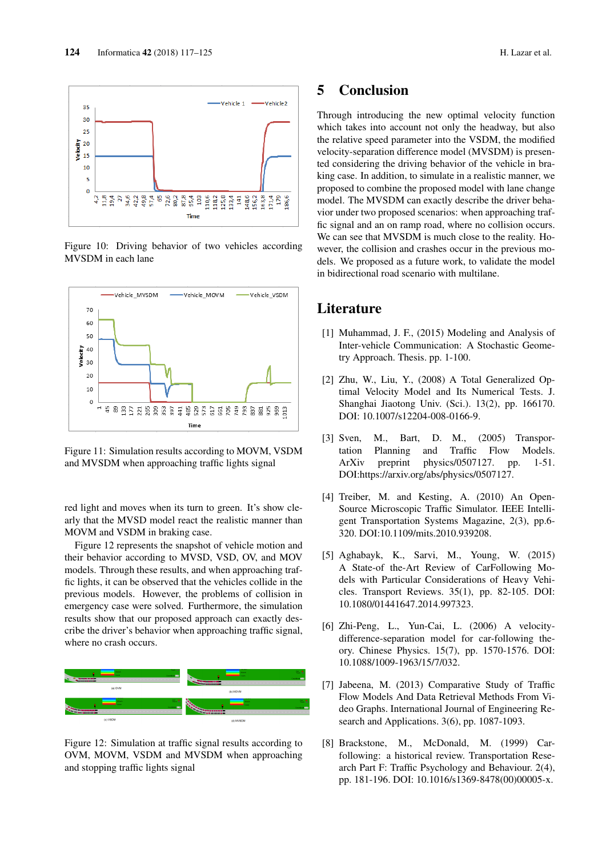

Figure 10: Driving behavior of two vehicles according MVSDM in each lane



Figure 11: Simulation results according to MOVM, VSDM and MVSDM when approaching traffic lights signal

red light and moves when its turn to green. It's show clearly that the MVSD model react the realistic manner than MOVM and VSDM in braking case.

Figure 12 represents the snapshot of vehicle motion and their behavior according to MVSD, VSD, OV, and MOV models. Through these results, and when approaching traffic lights, it can be observed that the vehicles collide in the previous models. However, the problems of collision in emergency case were solved. Furthermore, the simulation results show that our proposed approach can exactly describe the driver's behavior when approaching traffic signal, where no crash occurs.



Figure 12: Simulation at traffic signal results according to OVM, MOVM, VSDM and MVSDM when approaching and stopping traffic lights signal

# 5 Conclusion

Through introducing the new optimal velocity function which takes into account not only the headway, but also the relative speed parameter into the VSDM, the modified velocity-separation difference model (MVSDM) is presented considering the driving behavior of the vehicle in braking case. In addition, to simulate in a realistic manner, we proposed to combine the proposed model with lane change model. The MVSDM can exactly describe the driver behavior under two proposed scenarios: when approaching traffic signal and an on ramp road, where no collision occurs. We can see that MVSDM is much close to the reality. However, the collision and crashes occur in the previous models. We proposed as a future work, to validate the model in bidirectional road scenario with multilane.

## Literature

- [1] Muhammad, J. F., (2015) Modeling and Analysis of Inter-vehicle Communication: A Stochastic Geometry Approach. Thesis. pp. 1-100.
- [2] Zhu, W., Liu, Y., (2008) A Total Generalized Optimal Velocity Model and Its Numerical Tests. J. Shanghai Jiaotong Univ. (Sci.). 13(2), pp. 166170. DOI: 10.1007/s12204-008-0166-9.
- [3] Sven, M., Bart, D. M., (2005) Transportation Planning and Traffic Flow Models. ArXiv preprint physics/0507127. pp. 1-51. DOI:https://arxiv.org/abs/physics/0507127.
- [4] Treiber, M. and Kesting, A. (2010) An Open-Source Microscopic Traffic Simulator. IEEE Intelligent Transportation Systems Magazine, 2(3), pp.6- 320. DOI:10.1109/mits.2010.939208.
- [5] Aghabayk, K., Sarvi, M., Young, W. (2015) A State-of the-Art Review of CarFollowing Models with Particular Considerations of Heavy Vehicles. Transport Reviews. 35(1), pp. 82-105. DOI: 10.1080/01441647.2014.997323.
- [6] Zhi-Peng, L., Yun-Cai, L. (2006) A velocitydifference-separation model for car-following theory. Chinese Physics. 15(7), pp. 1570-1576. DOI: 10.1088/1009-1963/15/7/032.
- [7] Jabeena, M. (2013) Comparative Study of Traffic Flow Models And Data Retrieval Methods From Video Graphs. International Journal of Engineering Research and Applications. 3(6), pp. 1087-1093.
- [8] Brackstone, M., McDonald, M. (1999) Carfollowing: a historical review. Transportation Research Part F: Traffic Psychology and Behaviour. 2(4), pp. 181-196. DOI: 10.1016/s1369-8478(00)00005-x.